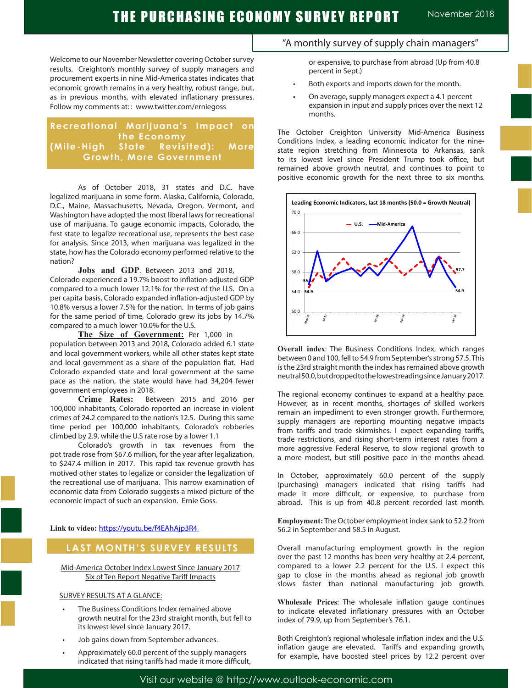Welcome to our November Newsletter covering October survey results. Creighton's monthly survey of supply managers and procurement experts in nine Mid-America states indicates that economic growth remains in a very healthy, robust range, but, as in previous months, with elevated inflationary pressures. Follow my comments at: : www.twitter.com/erniegoss

## **Recreational Marijuana's Impact on the Economy (Mile-High State Revisited): More Growth, More Government**

As of October 2018, 31 states and D.C. have legalized marijuana in some form. Alaska, California, Colorado, D.C., Maine, Massachusetts, Nevada, Oregon, Vermont, and Washington have adopted the most liberal laws for recreational use of marijuana. To gauge economic impacts, Colorado, the first state to legalize recreational use, represents the best case for analysis. Since 2013, when marijuana was legalized in the state, how has the Colorado economy performed relative to the nation?

Jobs and GDP. Between 2013 and 2018, Colorado experienced a 19.7% boost to inflation-adjusted GDP compared to a much lower 12.1% for the rest of the U.S. On a per capita basis, Colorado expanded inflation-adjusted GDP by 10.8% versus a lower 7.5% for the nation. In terms of job gains for the same period of time, Colorado grew its jobs by 14.7% compared to a much lower 10.0% for the U.S.

The Size of Government: Per 1,000 in population between 2013 and 2018, Colorado added 6.1 state and local government workers, while all other states kept state and local government as a share of the population flat. Had Colorado expanded state and local government at the same pace as the nation, the state would have had 34,204 fewer government employees in 2018.

**Crime Rates:** Between 2015 and 2016 per 100,000 inhabitants, Colorado reported an increase in violent crimes of 24.2 compared to the nation's 12.5. During this same time period per 100,000 inhabitants, Colorado's robberies climbed by 2.9, while the U.S rate rose by a lower 1.1

Colorado's growth in tax revenues from the pot trade rose from \$67.6 million, for the year after legalization, to \$247.4 million in 2017. This rapid tax revenue growth has motived other states to legalize or consider the legalization of the recreational use of marijuana. This narrow examination of economic data from Colorado suggests a mixed picture of the economic impact of such an expansion. Ernie Goss.

**Link to video:** https://youtu.be/f4EAhAjp3R4

## **LAST MONTH'S SURVEY RESULTS**

Mid-America October Index Lowest Since January 2017 Six of Ten Report Negative Tariff Impacts

#### SURVEY RESULTS AT A GLANCE:

- The Business Conditions Index remained above growth neutral for the 23rd straight month, but fell to its lowest level since January 2017.
- Job gains down from September advances.
- Approximately 60.0 percent of the supply managers indicated that rising tariffs had made it more difficult,

## "A monthly survey of supply chain managers"

or expensive, to purchase from abroad (Up from 40.8 percent in Sept.)

- Both exports and imports down for the month.
- On average, supply managers expect a 4.1 percent expansion in input and supply prices over the next 12 months.

The October Creighton University Mid-America Business Conditions Index, a leading economic indicator for the ninestate region stretching from Minnesota to Arkansas, sank to its lowest level since President Trump took office, but remained above growth neutral, and continues to point to positive economic growth for the next three to six months.



**Overall index**: The Business Conditions Index, which ranges between 0 and 100, fell to 54.9 from September's strong 57.5. This is the 23rd straight month the index has remained above growth neutral 50.0, but dropped to the lowest reading since January 2017.

The regional economy continues to expand at a healthy pace. However, as in recent months, shortages of skilled workers remain an impediment to even stronger growth. Furthermore, supply managers are reporting mounting negative impacts from tariffs and trade skirmishes. I expect expanding tariffs, trade restrictions, and rising short-term interest rates from a more aggressive Federal Reserve, to slow regional growth to a more modest, but still positive pace in the months ahead.

In October, approximately 60.0 percent of the supply (purchasing) managers indicated that rising tariffs had made it more difficult, or expensive, to purchase from abroad. This is up from 40.8 percent recorded last month.

**Employment:** The October employment index sank to 52.2 from 56.2 in September and 58.5 in August. .

Overall manufacturing employment growth in the region over the past 12 months has been very healthy at 2.4 percent, compared to a lower 2.2 percent for the U.S. I expect this gap to close in the months ahead as regional job growth slows faster than national manufacturing job growth.

**Wholesale Prices**: The wholesale inflation gauge continues to indicate elevated inflationary pressures with an October index of 79.9, up from September's 76.1.

Both Creighton's regional wholesale inflation index and the U.S. inflation gauge are elevated. Tariffs and expanding growth, for example, have boosted steel prices by 12.2 percent over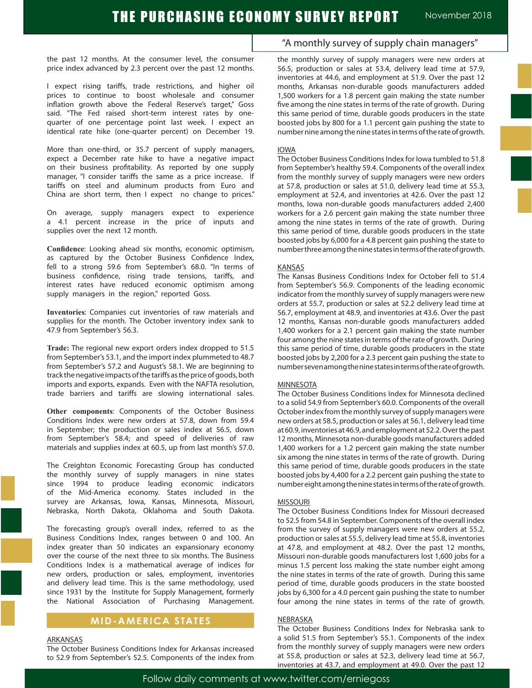the past 12 months. At the consumer level, the consumer price index advanced by 2.3 percent over the past 12 months.

I expect rising tariffs, trade restrictions, and higher oil prices to continue to boost wholesale and consumer inflation growth above the Federal Reserve's target," Goss said. "The Fed raised short-term interest rates by onequarter of one percentage point last week. I expect an identical rate hike (one-quarter percent) on December 19.

More than one-third, or 35.7 percent of supply managers, expect a December rate hike to have a negative impact on their business profitability. As reported by one supply manager, "I consider tariffs the same as a price increase. If tariffs on steel and aluminum products from Euro and China are short term, then I expect no change to prices."

On average, supply managers expect to experience a 4.1 percent increase in the price of inputs and supplies over the next 12 month.

**Confidence**: Looking ahead six months, economic optimism, as captured by the October Business Confidence Index, fell to a strong 59.6 from September's 68.0. "In terms of business confidence, rising trade tensions, tariffs, and interest rates have reduced economic optimism among supply managers in the region," reported Goss.

**Inventories**: Companies cut inventories of raw materials and supplies for the month. The October inventory index sank to 47.9 from September's 56.3. .

**Trade:** The regional new export orders index dropped to 51.5 from September's 53.1, and the import index plummeted to 48.7 from September's 57.2 and August's 58.1. We are beginning to track the negative impacts of the tariffs as the price of goods, both imports and exports, expands. Even with the NAFTA resolution, trade barriers and tariffs are slowing international sales.

**Other components**: Components of the October Business Conditions Index were new orders at 57.8, down from 59.4 in September; the production or sales index at 56.5, down from September's 58.4; and speed of deliveries of raw materials and supplies index at 60.5, up from last month's 57.0.

The Creighton Economic Forecasting Group has conducted the monthly survey of supply managers in nine states since 1994 to produce leading economic indicators of the Mid-America economy. States included in the survey are Arkansas, Iowa, Kansas, Minnesota, Missouri, Nebraska, North Dakota, Oklahoma and South Dakota.

The forecasting group's overall index, referred to as the Business Conditions Index, ranges between 0 and 100. An index greater than 50 indicates an expansionary economy over the course of the next three to six months. The Business Conditions Index is a mathematical average of indices for new orders, production or sales, employment, inventories and delivery lead time. This is the same methodology, used since 1931 by the Institute for Supply Management, formerly the National Association of Purchasing Management.

## **MID-AMERICA STATES**

#### ARKANSAS

The October Business Conditions Index for Arkansas increased to 52.9 from September's 52.5. Components of the index from

## "A monthly survey of supply chain managers"

the monthly survey of supply managers were new orders at 56.5, production or sales at 53.4, delivery lead time at 57.9, inventories at 44.6, and employment at 51.9. Over the past 12 months, Arkansas non-durable goods manufacturers added 1,500 workers for a 1.8 percent gain making the state number five among the nine states in terms of the rate of growth. During this same period of time, durable goods producers in the state boosted jobs by 800 for a 1.1 percent gain pushing the state to number nine among the nine states in terms of the rate of growth.

#### IOWA

The October Business Conditions Index for Iowa tumbled to 51.8 from September's healthy 59.4. Components of the overall index from the monthly survey of supply managers were new orders at 57.8, production or sales at 51.0, delivery lead time at 55.3, employment at 52.4, and inventories at 42.6. Over the past 12 months, Iowa non-durable goods manufacturers added 2,400 workers for a 2.6 percent gain making the state number three among the nine states in terms of the rate of growth. During this same period of time, durable goods producers in the state boosted jobs by 6,000 for a 4.8 percent gain pushing the state to number three among the nine states in terms of the rate of growth.

#### KANSAS

The Kansas Business Conditions Index for October fell to 51.4 from September's 56.9. Components of the leading economic indicator from the monthly survey of supply managers were new orders at 55.7, production or sales at 52.2 delivery lead time at 56.7, employment at 48.9, and inventories at 43.6. Over the past 12 months, Kansas non-durable goods manufacturers added 1,400 workers for a 2.1 percent gain making the state number four among the nine states in terms of the rate of growth. During this same period of time, durable goods producers in the state boosted jobs by 2,200 for a 2.3 percent gain pushing the state to number seven among the nine states in terms of the rate of growth.

#### **MINNESOTA**

The October Business Conditions Index for Minnesota declined to a solid 54.9 from September's 60.0. Components of the overall October index from the monthly survey of supply managers were new orders at 58.5, production or sales at 56.1, delivery lead time at 60.9, inventories at 46.9, and employment at 52.2. Over the past 12 months, Minnesota non-durable goods manufacturers added 1,400 workers for a 1.2 percent gain making the state number six among the nine states in terms of the rate of growth. During this same period of time, durable goods producers in the state boosted jobs by 4,400 for a 2.2 percent gain pushing the state to number eight among the nine states in terms of the rate of growth.

#### MISSOURI

The October Business Conditions Index for Missouri decreased to 52.5 from 54.8 in September. Components of the overall index from the survey of supply managers were new orders at 55.2, production or sales at 55.5, delivery lead time at 55.8, inventories at 47.8, and employment at 48.2. Over the past 12 months, Missouri non-durable goods manufacturers lost 1,600 jobs for a minus 1.5 percent loss making the state number eight among the nine states in terms of the rate of growth. During this same period of time, durable goods producers in the state boosted jobs by 6,300 for a 4.0 percent gain pushing the state to number four among the nine states in terms of the rate of growth.

#### NEBRASKA

The October Business Conditions Index for Nebraska sank to a solid 51.5 from September's 55.1. Components of the index from the monthly survey of supply managers were new orders at 55.8, production or sales at 52.3, delivery lead time at 56.7, inventories at 43.7, and employment at 49.0. Over the past 12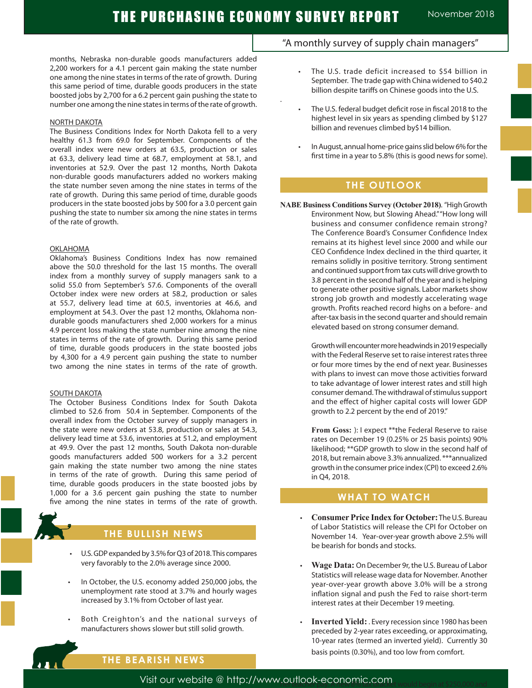.

months, Nebraska non-durable goods manufacturers added 2,200 workers for a 4.1 percent gain making the state number one among the nine states in terms of the rate of growth. During this same period of time, durable goods producers in the state boosted jobs by 2,700 for a 6.2 percent gain pushing the state to number one among the nine states in terms of the rate of growth.

#### NORTH DAKOTA

The Business Conditions Index for North Dakota fell to a very healthy 61.3 from 69.0 for September. Components of the overall index were new orders at 63.5, production or sales at 63.3, delivery lead time at 68.7, employment at 58.1, and inventories at 52.9. Over the past 12 months, North Dakota non-durable goods manufacturers added no workers making the state number seven among the nine states in terms of the rate of growth. During this same period of time, durable goods producers in the state boosted jobs by 500 for a 3.0 percent gain pushing the state to number six among the nine states in terms of the rate of growth.

#### **OKLAHOMA**

Oklahoma's Business Conditions Index has now remained above the 50.0 threshold for the last 15 months. The overall index from a monthly survey of supply managers sank to a solid 55.0 from September's 57.6. Components of the overall October index were new orders at 58.2, production or sales at 55.7, delivery lead time at 60.5, inventories at 46.6, and employment at 54.3. Over the past 12 months, Oklahoma nondurable goods manufacturers shed 2,000 workers for a minus 4.9 percent loss making the state number nine among the nine states in terms of the rate of growth. During this same period of time, durable goods producers in the state boosted jobs by 4,300 for a 4.9 percent gain pushing the state to number two among the nine states in terms of the rate of growth.

#### SOUTH DAKOTA

The October Business Conditions Index for South Dakota climbed to 52.6 from 50.4 in September. Components of the overall index from the October survey of supply managers in the state were new orders at 53.8, production or sales at 54.3, delivery lead time at 53.6, inventories at 51.2, and employment at 49.9. Over the past 12 months, South Dakota non-durable goods manufacturers added 500 workers for a 3.2 percent gain making the state number two among the nine states in terms of the rate of growth. During this same period of time, durable goods producers in the state boosted jobs by 1,000 for a 3.6 percent gain pushing the state to number five among the nine states in terms of the rate of growth.



## **THE BULLISH NEWS**

- U.S. GDP expanded by 3.5% for Q3 of 2018. This compares very favorably to the 2.0% average since 2000.
- In October, the U.S. economy added 250,000 jobs, the unemployment rate stood at 3.7% and hourly wages increased by 3.1% from October of last year.
- Both Creighton's and the national surveys of manufacturers shows slower but still solid growth.

# "A monthly survey of supply chain managers"

- The U.S. trade deficit increased to \$54 billion in September. The trade gap with China widened to \$40.2 billion despite tariffs on Chinese goods into the U.S.
- The U.S. federal budget deficit rose in fiscal 2018 to the highest level in six years as spending climbed by \$127 billion and revenues climbed by\$14 billion.
	- In August, annual home-price gains slid below 6% for the first time in a year to 5.8% (this is good news for some).

## **THE OUTLOOK**

**NABE Business Conditions Survey (October 2018)**. "High Growth Environment Now, but Slowing Ahead." "How long will business and consumer confidence remain strong? The Conference Board's Consumer Confidence Index remains at its highest level since 2000 and while our CEO Confidence Index declined in the third quarter, it remains solidly in positive territory. Strong sentiment and continued support from tax cuts will drive growth to 3.8 percent in the second half of the year and is helping to generate other positive signals. Labor markets show strong job growth and modestly accelerating wage growth. Profits reached record highs on a before- and after-tax basis in the second quarter and should remain elevated based on strong consumer demand.

> Growth will encounter more headwinds in 2019 especially with the Federal Reserve set to raise interest rates three or four more times by the end of next year. Businesses with plans to invest can move those activities forward to take advantage of lower interest rates and still high consumer demand. The withdrawal of stimulus support and the effect of higher capital costs will lower GDP growth to 2.2 percent by the end of 2019."

> **From Goss:** ): I expect \*\*the Federal Reserve to raise rates on December 19 (0.25% or 25 basis points) 90% likelihood; \*\*GDP growth to slow in the second half of 2018, but remain above 3.3% annualized. \*\*\*annualized growth in the consumer price index (CPI) to exceed 2.6% in Q4, 2018.

## **WHAT TO WATCH**

- **Consumer Price Index for October: The U.S. Bureau** of Labor Statistics will release the CPI for October on November 14. Year-over-year growth above 2.5% will be bearish for bonds and stocks.
- **Wage Data: On December 9r, the U.S. Bureau of Labor** Statistics will release wage data for November. Another year-over-year growth above 3.0% will be a strong inflation signal and push the Fed to raise short-term interest rates at their December 19 meeting.
- **Inverted Yield:** . Every recession since 1980 has been preceded by 2-year rates exceeding, or approximating, 10-year rates (termed an inverted yield). Currently 30 basis points (0.30%), and too low from comfort.

# **THE BEARISH NEWS**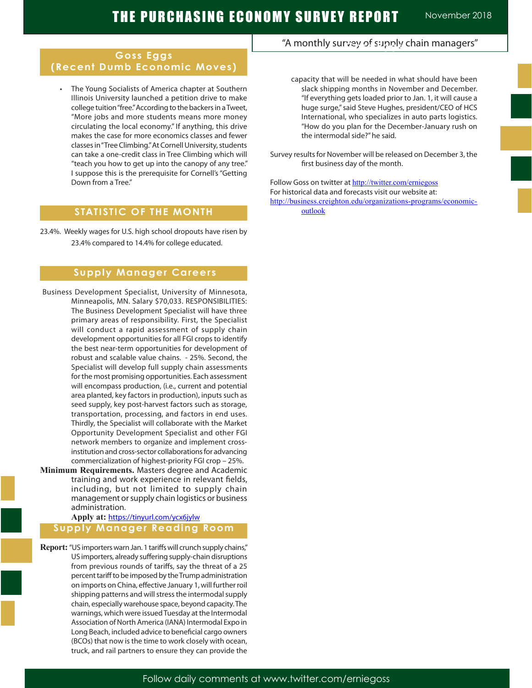## **Goss Eggs (Recent Dumb Economic Moves)**

 • The Young Socialists of America chapter at Southern Illinois University launched a petition drive to make college tuition "free." According to the backers in a Tweet, "More jobs and more students means more money circulating the local economy." If anything, this drive makes the case for more economics classes and fewer classes in "Tree Climbing." At Cornell University, students can take a one-credit class in Tree Climbing which will "teach you how to get up into the canopy of any tree." I suppose this is the prerequisite for Cornell's "Getting Down from a Tree."

## **STATISTIC OF THE MONTH**

23.4%. Weekly wages for U.S. high school dropouts have risen by 23.4% compared to 14.4% for college educated.

## **Supply Manager Careers**

- Business Development Specialist, University of Minnesota, Minneapolis, MN. Salary \$70,033. RESPONSIBILITIES: The Business Development Specialist will have three primary areas of responsibility. First, the Specialist will conduct a rapid assessment of supply chain development opportunities for all FGI crops to identify the best near-term opportunities for development of robust and scalable value chains. - 25%. Second, the Specialist will develop full supply chain assessments for the most promising opportunities. Each assessment will encompass production, (i.e., current and potential area planted, key factors in production), inputs such as seed supply, key post-harvest factors such as storage, transportation, processing, and factors in end uses. Thirdly, the Specialist will collaborate with the Market Opportunity Development Specialist and other FGI network members to organize and implement crossinstitution and cross-sector collaborations for advancing commercialization of highest-priority FGI crop – 25%.
- **Minimum Requirements.** Masters degree and Academic training and work experience in relevant fields, including, but not limited to supply chain management or supply chain logistics or business administration.

#### **Apply at:** https://tinyurl.com/ycx6jylw **Supply Manager Reading Room**

**Report:** "US importers warn Jan. 1 tariffs will crunch supply chains," US importers, already suffering supply-chain disruptions from previous rounds of tariffs, say the threat of a 25 percent tariff to be imposed by the Trump administration on imports on China, effective January 1, will further roil shipping patterns and will stress the intermodal supply chain, especially warehouse space, beyond capacity. The warnings, which were issued Tuesday at the Intermodal Association of North America (IANA) Intermodal Expo in Long Beach, included advice to beneficial cargo owners (BCOs) that now is the time to work closely with ocean, truck, and rail partners to ensure they can provide the

# "A monthly survey of supply chain managers" **Goss Eggs**

- capacity that will be needed in what should have been slack shipping months in November and December. "If everything gets loaded prior to Jan. 1, it will cause a huge surge," said Steve Hughes, president/CEO of HCS International, who specializes in auto parts logistics. "How do you plan for the December-January rush on the intermodal side?" he said.
- Survey results for November will be released on December 3, the first business day of the month.

Follow Goss on twitter at http://twitter.com/erniegoss For historical data and forecasts visit our website at: http://business.creighton.edu/organizations-programs/economicoutlook